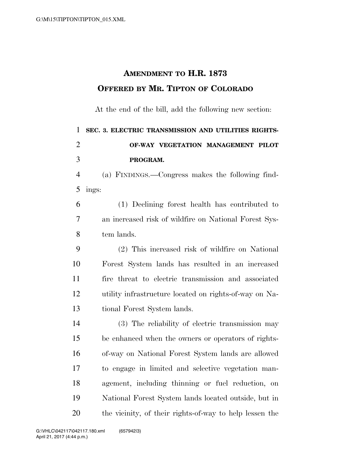## **AMENDMENT TO H.R. 1873 OFFERED BY MR. TIPTON OF COLORADO**

At the end of the bill, add the following new section:

|                | 1 SEC. 3. ELECTRIC TRANSMISSION AND UTILITIES RIGHTS- |
|----------------|-------------------------------------------------------|
| $\overline{2}$ | OF-WAY VEGETATION MANAGEMENT PILOT                    |
| $\mathcal{E}$  | PROGRAM.                                              |
|                | 4 (a) Funnisco Congrega makes the following find      |

 (a) FINDINGS.—Congress makes the following find-ings:

 (1) Declining forest health has contributed to an increased risk of wildfire on National Forest Sys-tem lands.

 (2) This increased risk of wildfire on National Forest System lands has resulted in an increased fire threat to electric transmission and associated utility infrastructure located on rights-of-way on Na-tional Forest System lands.

 (3) The reliability of electric transmission may be enhanced when the owners or operators of rights- of-way on National Forest System lands are allowed to engage in limited and selective vegetation man- agement, including thinning or fuel reduction, on National Forest System lands located outside, but in the vicinity, of their rights-of-way to help lessen the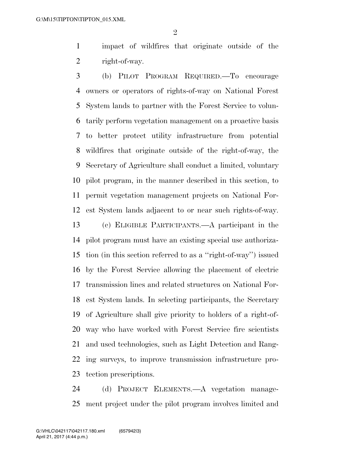impact of wildfires that originate outside of the right-of-way.

 (b) PILOT PROGRAM REQUIRED.—To encourage owners or operators of rights-of-way on National Forest System lands to partner with the Forest Service to volun- tarily perform vegetation management on a proactive basis to better protect utility infrastructure from potential wildfires that originate outside of the right-of-way, the Secretary of Agriculture shall conduct a limited, voluntary pilot program, in the manner described in this section, to permit vegetation management projects on National For- est System lands adjacent to or near such rights-of-way. (c) ELIGIBLE PARTICIPANTS.—A participant in the pilot program must have an existing special use authoriza- tion (in this section referred to as a ''right-of-way'') issued by the Forest Service allowing the placement of electric transmission lines and related structures on National For- est System lands. In selecting participants, the Secretary of Agriculture shall give priority to holders of a right-of- way who have worked with Forest Service fire scientists and used technologies, such as Light Detection and Rang-ing surveys, to improve transmission infrastructure pro-

tection prescriptions.

 (d) PROJECT ELEMENTS.—A vegetation manage-ment project under the pilot program involves limited and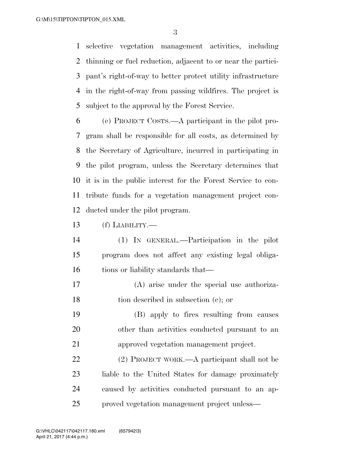selective vegetation management activities, including thinning or fuel reduction, adjacent to or near the partici- pant's right-of-way to better protect utility infrastructure in the right-of-way from passing wildfires. The project is subject to the approval by the Forest Service.

 (e) PROJECT COSTS.—A participant in the pilot pro- gram shall be responsible for all costs, as determined by the Secretary of Agriculture, incurred in participating in the pilot program, unless the Secretary determines that it is in the public interest for the Forest Service to con- tribute funds for a vegetation management project con-ducted under the pilot program.

- (f) LIABILITY.—
- (1) IN GENERAL.—Participation in the pilot program does not affect any existing legal obliga-16 tions or liability standards that—
- (A) arise under the special use authoriza-tion described in subsection (c); or
- (B) apply to fires resulting from causes other than activities conducted pursuant to an approved vegetation management project.

 (2) PROJECT WORK.—A participant shall not be liable to the United States for damage proximately caused by activities conducted pursuant to an ap-proved vegetation management project unless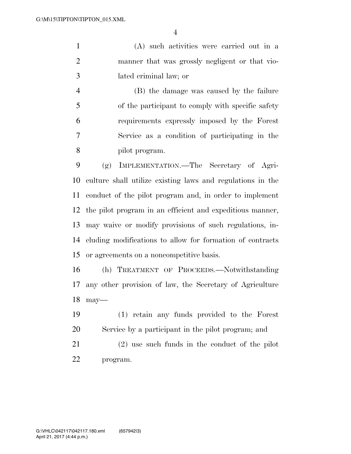(A) such activities were carried out in a manner that was grossly negligent or that vio-lated criminal law; or

 (B) the damage was caused by the failure of the participant to comply with specific safety requirements expressly imposed by the Forest Service as a condition of participating in the pilot program.

 (g) IMPLEMENTATION.—The Secretary of Agri- culture shall utilize existing laws and regulations in the conduct of the pilot program and, in order to implement the pilot program in an efficient and expeditious manner, may waive or modify provisions of such regulations, in- cluding modifications to allow for formation of contracts or agreements on a noncompetitive basis.

 (h) TREATMENT OF PROCEEDS.—Notwithstanding any other provision of law, the Secretary of Agriculture may—

 (1) retain any funds provided to the Forest Service by a participant in the pilot program; and

 (2) use such funds in the conduct of the pilot program.